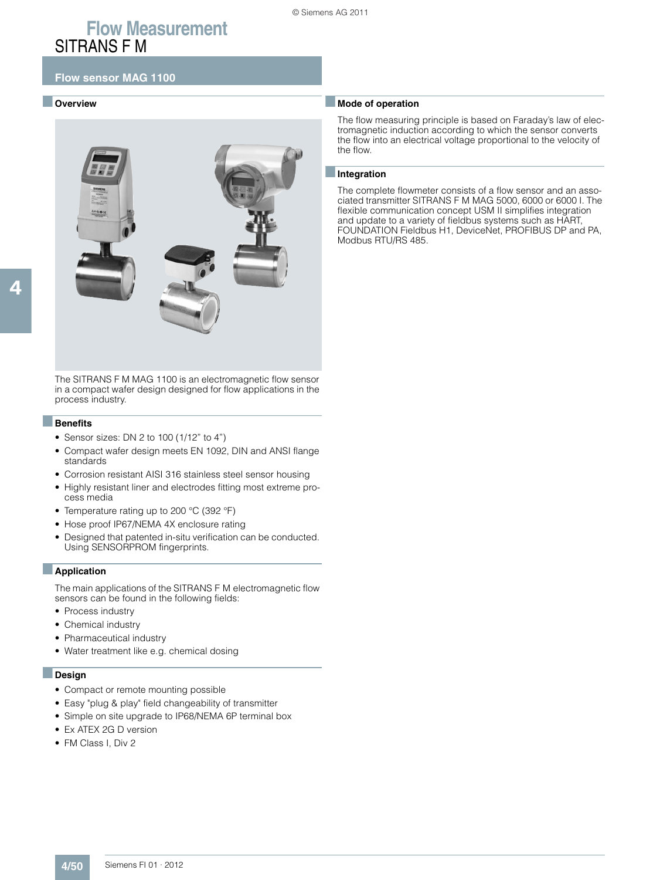### ■ **Overview**



The SITRANS F M MAG 1100 is an electromagnetic flow sensor in a compact wafer design designed for flow applications in the process industry.

#### ■**Benefits**

- Sensor sizes: DN 2 to 100 (1/12" to 4")
- Compact wafer design meets EN 1092, DIN and ANSI flange standards
- Corrosion resistant AISI 316 stainless steel sensor housing
- Highly resistant liner and electrodes fitting most extreme process media
- Temperature rating up to 200 °C (392 °F)
- Hose proof IP67/NEMA 4X enclosure rating
- Designed that patented in-situ verification can be conducted. Using SENSORPROM fingerprints.

#### ■**Application**

The main applications of the SITRANS F M electromagnetic flow sensors can be found in the following fields:

- Process industry
- Chemical industry
- Pharmaceutical industry
- Water treatment like e.g. chemical dosing

#### ■**Design**

- Compact or remote mounting possible
- Easy "plug & play" field changeability of transmitter
- Simple on site upgrade to IP68/NEMA 6P terminal box
- Ex ATEX 2G D version
- FM Class I, Div 2

### ■ **Mode of operation**

The flow measuring principle is based on Faraday's law of electromagnetic induction according to which the sensor converts the flow into an electrical voltage proportional to the velocity of the flow.

#### ■**Integration**

The complete flowmeter consists of a flow sensor and an associated transmitter SITRANS F M MAG 5000, 6000 or 6000 I. The flexible communication concept USM II simplifies integration and update to a variety of fieldbus systems such as HART, FOUNDATION Fieldbus H1, DeviceNet, PROFIBUS DP and PA, Modbus RTU/RS 485.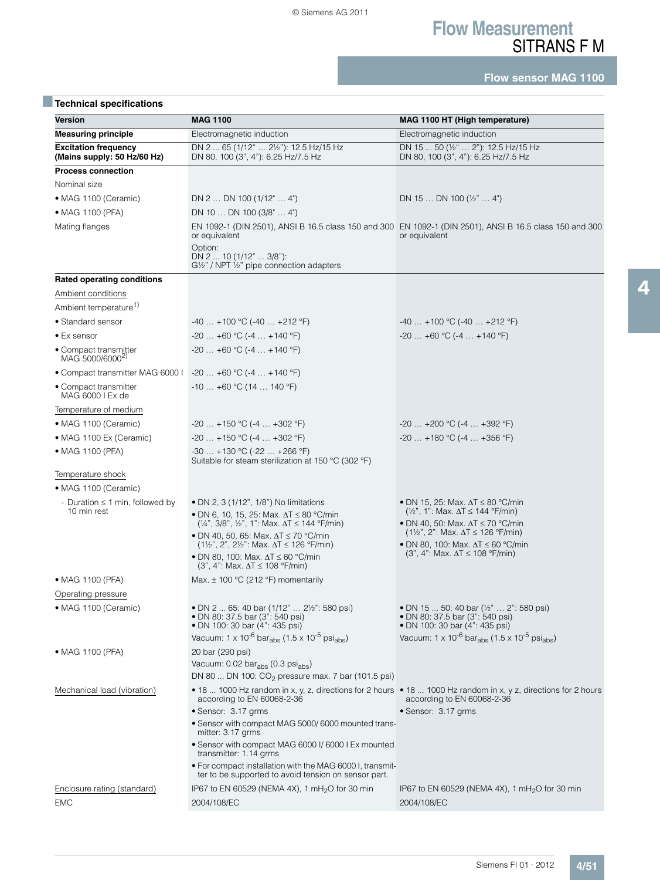**Flow sensor MAG 1100**

| <b>Technical specifications</b>                            |                                                                                                                                                                                                |                                                                                                                                                                     |
|------------------------------------------------------------|------------------------------------------------------------------------------------------------------------------------------------------------------------------------------------------------|---------------------------------------------------------------------------------------------------------------------------------------------------------------------|
| Version                                                    | <b>MAG 1100</b>                                                                                                                                                                                | MAG 1100 HT (High temperature)                                                                                                                                      |
| <b>Measuring principle</b>                                 | Electromagnetic induction                                                                                                                                                                      | Electromagnetic induction                                                                                                                                           |
| <b>Excitation frequency</b><br>(Mains supply: 50 Hz/60 Hz) | DN 2  65 (1/12"  21/2"): 12.5 Hz/15 Hz<br>DN 80, 100 (3", 4"): 6.25 Hz/7.5 Hz                                                                                                                  | DN 15  50 (1/2"  2"): 12.5 Hz/15 Hz<br>DN 80, 100 (3", 4"): 6.25 Hz/7.5 Hz                                                                                          |
| <b>Process connection</b>                                  |                                                                                                                                                                                                |                                                                                                                                                                     |
| Nominal size                                               |                                                                                                                                                                                                |                                                                                                                                                                     |
| • MAG 1100 (Ceramic)                                       | DN 2  DN 100 $(1/12^{\circ}  4^{\circ})$                                                                                                                                                       | DN 15  DN 100 ( $\frac{1}{2}$ "  4")                                                                                                                                |
| • MAG 1100 (PFA)                                           | DN 10  DN 100 (3/8"  4")                                                                                                                                                                       |                                                                                                                                                                     |
| Mating flanges                                             | or equivalent<br>Option:                                                                                                                                                                       | EN 1092-1 (DIN 2501), ANSI B 16.5 class 150 and 300 EN 1092-1 (DIN 2501), ANSI B 16.5 class 150 and 300<br>or equivalent                                            |
|                                                            | DN 2  10 (1/12"  3/8"):<br>$G\frac{1}{2}$ " / NPT $\frac{1}{2}$ " pipe connection adapters                                                                                                     |                                                                                                                                                                     |
| Rated operating conditions                                 |                                                                                                                                                                                                |                                                                                                                                                                     |
| Ambient conditions                                         |                                                                                                                                                                                                |                                                                                                                                                                     |
| Ambient temperature <sup>1)</sup>                          |                                                                                                                                                                                                |                                                                                                                                                                     |
| • Standard sensor                                          | $-40+100$ °C ( $-40+212$ °F)                                                                                                                                                                   | $-40$ +100 °C (-40  +212 °F)                                                                                                                                        |
| $\bullet$ Ex sensor                                        | $-20+60$ °C $(-4+140$ °F)                                                                                                                                                                      | $-20+60$ °C ( $-4+140$ °F)                                                                                                                                          |
| • Compact transmitter<br>MAG 5000/6000 <sup>2)</sup>       | $-20+60$ °C ( $-4+140$ °F)                                                                                                                                                                     |                                                                                                                                                                     |
| • Compact transmitter MAG 6000 l $-20+60$ °C (-4  +140 °F) |                                                                                                                                                                                                |                                                                                                                                                                     |
| • Compact transmitter<br>MAG 6000 I Ex de                  | $-10+60$ °C (14  140 °F)                                                                                                                                                                       |                                                                                                                                                                     |
| Temperature of medium                                      |                                                                                                                                                                                                |                                                                                                                                                                     |
| • MAG 1100 (Ceramic)                                       | $-20+150$ °C ( $-4+302$ °F)                                                                                                                                                                    | $-20+200$ °C ( $-4+392$ °F)                                                                                                                                         |
| • MAG 1100 Ex (Ceramic)                                    | $-20+150$ °C (-4  +302 °F)                                                                                                                                                                     | $-20$ +180 °C (-4  +356 °F)                                                                                                                                         |
| • MAG 1100 (PFA)                                           | $-30+130$ °C (-22  +266 °F)<br>Suitable for steam sterilization at 150 $^{\circ}$ C (302 $^{\circ}$ F)                                                                                         |                                                                                                                                                                     |
| Temperature shock                                          |                                                                                                                                                                                                |                                                                                                                                                                     |
| • MAG 1100 (Ceramic)                                       |                                                                                                                                                                                                |                                                                                                                                                                     |
| - Duration $\leq$ 1 min, followed by<br>10 min rest        | • DN 2, 3 (1/12", 1/8") No limitations<br>• DN 6, 10, 15, 25: Max. ∆T ≤ 80 °C/min                                                                                                              | • DN 15, 25: Max. $\Delta T \leq 80$ °C/min<br>$(\frac{1}{2}$ ", 1": Max. $\Delta T \le 144$ °F/min)                                                                |
|                                                            | $(1/4$ ", 3/8", $1/2$ ", 1": Max. $\Delta T \le 144$ °F/min)<br>• DN 40, 50, 65: Max. ∆T ≤ 70 °C/min<br>$(1\frac{1}{2}$ , 2", 2 <sup>1</sup> / <sub>2</sub> ": Max. $\Delta T \le 126$ °F/min) | • DN 40, 50: Max. $\Delta T \le 70$ °C/min<br>$(1\frac{1}{2}$ , 2": Max. $\Delta T \le 126$ °F/min)<br>• DN 80, 100: Max. $\Delta T \leq 60$ °C/min                 |
|                                                            | • DN 80, 100: Max, $\Delta T \le 60$ °C/min<br>$(3", 4": Max. \Delta T \le 108 °F/min)$                                                                                                        | $(3", 4": Max. \Delta T \le 108 °F/min)$                                                                                                                            |
| • MAG 1100 (PFA)                                           | Max. $\pm$ 100 °C (212 °F) momentarily                                                                                                                                                         |                                                                                                                                                                     |
| Operating pressure                                         |                                                                                                                                                                                                |                                                                                                                                                                     |
| • MAG 1100 (Ceramic)                                       | • DN 2  65: 40 bar (1/12"  2½": 580 psi)<br>• DN 80: 37.5 bar (3": 540 psi)<br>• DN 100: 30 bar (4": 435 psi)                                                                                  | • DN 15  50: 40 bar (1/2"  2": 580 psi)<br>· DN 80: 37.5 bar (3": 540 psi)<br>• DN 100: 30 bar (4": 435 psi)                                                        |
|                                                            | Vacuum: $1 \times 10^{-6}$ bar <sub>abs</sub> (1.5 x 10 <sup>-5</sup> psi <sub>abs</sub> )                                                                                                     | Vacuum: $1 \times 10^{-6}$ bar <sub>abs</sub> (1.5 x 10 <sup>-5</sup> psi <sub>abs</sub> )                                                                          |
| • MAG 1100 (PFA)                                           | 20 bar (290 psi)                                                                                                                                                                               |                                                                                                                                                                     |
|                                                            | Vacuum: 0.02 bar <sub>abs</sub> (0.3 psi <sub>abs</sub> )<br>DN 80  DN 100: $CO_2$ pressure max. 7 bar (101.5 psi)                                                                             |                                                                                                                                                                     |
| Mechanical load (vibration)                                | according to EN 60068-2-36<br>• Sensor: 3.17 grms                                                                                                                                              | • 18  1000 Hz random in x, y, z, directions for 2 hours • 18  1000 Hz random in x, y z, directions for 2 hours<br>according to EN 60068-2-36<br>• Sensor: 3.17 grms |
|                                                            | • Sensor with compact MAG 5000/6000 mounted trans-<br>mitter: 3.17 grms                                                                                                                        |                                                                                                                                                                     |
|                                                            | • Sensor with compact MAG 6000 I/6000 I Ex mounted<br>transmitter: 1.14 grms                                                                                                                   |                                                                                                                                                                     |
|                                                            | . For compact installation with the MAG 6000 I, transmit-<br>ter to be supported to avoid tension on sensor part.                                                                              |                                                                                                                                                                     |
| Enclosure rating (standard)<br><b>EMC</b>                  | IP67 to EN 60529 (NEMA 4X), 1 mH <sub>2</sub> O for 30 min<br>2004/108/EC                                                                                                                      | IP67 to EN 60529 (NEMA 4X), 1 mH <sub>2</sub> O for 30 min<br>2004/108/EC                                                                                           |
|                                                            |                                                                                                                                                                                                |                                                                                                                                                                     |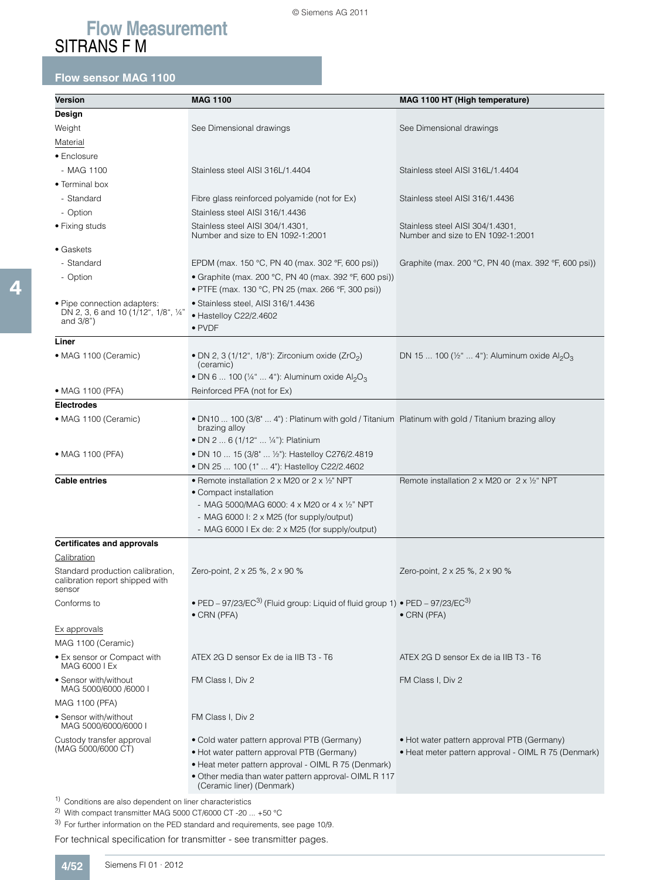## **Flow sensor MAG 1100**

| Version                                                                                      | <b>MAG 1100</b>                                                                                                                                           | MAG 1100 HT (High temperature)                                        |
|----------------------------------------------------------------------------------------------|-----------------------------------------------------------------------------------------------------------------------------------------------------------|-----------------------------------------------------------------------|
| Design                                                                                       |                                                                                                                                                           |                                                                       |
| Weight                                                                                       | See Dimensional drawings                                                                                                                                  | See Dimensional drawings                                              |
| Material                                                                                     |                                                                                                                                                           |                                                                       |
| • Enclosure                                                                                  |                                                                                                                                                           |                                                                       |
| - MAG 1100                                                                                   | Stainless steel AISI 316L/1.4404                                                                                                                          | Stainless steel AISI 316L/1.4404                                      |
| • Terminal box                                                                               |                                                                                                                                                           |                                                                       |
| - Standard                                                                                   | Fibre glass reinforced polyamide (not for Ex)                                                                                                             | Stainless steel AISI 316/1.4436                                       |
| - Option                                                                                     | Stainless steel AISI 316/1.4436                                                                                                                           |                                                                       |
| • Fixing studs                                                                               | Stainless steel AISI 304/1.4301,<br>Number and size to EN 1092-1:2001                                                                                     | Stainless steel AISI 304/1.4301,<br>Number and size to EN 1092-1:2001 |
| $\bullet$ Gaskets                                                                            |                                                                                                                                                           |                                                                       |
| - Standard                                                                                   | EPDM (max. 150 °C, PN 40 (max. 302 °F, 600 psi))                                                                                                          | Graphite (max. 200 °C, PN 40 (max. 392 °F, 600 psi))                  |
| - Option                                                                                     | • Graphite (max. 200 °C, PN 40 (max. 392 °F, 600 psi))<br>• PTFE (max. 130 °C, PN 25 (max. 266 °F, 300 psi))                                              |                                                                       |
| • Pipe connection adapters:<br>DN 2, 3, 6 and 10 (1/12", 1/8", 1/4"<br>and $3/8"$ )          | · Stainless steel, AISI 316/1.4436<br>• Hastelloy C22/2.4602<br>$\bullet$ PVDF                                                                            |                                                                       |
| Liner                                                                                        |                                                                                                                                                           |                                                                       |
| • MAG 1100 (Ceramic)                                                                         | • DN 2, 3 (1/12", 1/8"): Zirconium oxide (ZrO <sub>2</sub> )<br>(ceramic)                                                                                 | DN 15  100 (1/2"  4"): Aluminum oxide Al2O3                           |
|                                                                                              | • DN 6  100 ( $\frac{1}{4}$ "  4"): Aluminum oxide Al <sub>2</sub> O <sub>3</sub>                                                                         |                                                                       |
| • MAG 1100 (PFA)                                                                             | Reinforced PFA (not for Ex)                                                                                                                               |                                                                       |
| <b>Electrodes</b>                                                                            |                                                                                                                                                           |                                                                       |
| • MAG 1100 (Ceramic)                                                                         | • DN10  100 (3/8"  4") : Platinum with gold / Titanium Platinum with gold / Titanium brazing alloy<br>brazing alloy<br>• DN 2  6 (1/12"  1/4"): Platinium |                                                                       |
| • MAG 1100 (PFA)                                                                             | • DN 10  15 (3/8"  1/2"): Hastelloy C276/2.4819<br>• DN 25  100 (1"  4"): Hastelloy C22/2.4602                                                            |                                                                       |
| <b>Cable entries</b>                                                                         | • Remote installation 2 x M20 or 2 x 1/2" NPT                                                                                                             | Remote installation $2 \times M20$ or $2 \times 1/2$ NPT              |
|                                                                                              | • Compact installation                                                                                                                                    |                                                                       |
|                                                                                              | - MAG 5000/MAG 6000: $4 \times$ M20 or $4 \times$ 1/2" NPT                                                                                                |                                                                       |
|                                                                                              | - MAG 6000 I: 2 x M25 (for supply/output)                                                                                                                 |                                                                       |
|                                                                                              | - MAG 6000 I Ex de: 2 x M25 (for supply/output)                                                                                                           |                                                                       |
| <b>Certificates and approvals</b>                                                            |                                                                                                                                                           |                                                                       |
| Calibration<br>Standard production calibration,<br>calibration report shipped with<br>sensor | Zero-point, 2 x 25 %, 2 x 90 %                                                                                                                            | Zero-point, 2 x 25 %, 2 x 90 %                                        |
| Conforms to                                                                                  | • PED – 97/23/EC <sup>3)</sup> (Fluid group: Liquid of fluid group 1) • PED – 97/23/EC <sup>3)</sup><br>$\bullet$ CRN (PFA)                               | • CRN (PFA)                                                           |
| Ex approvals                                                                                 |                                                                                                                                                           |                                                                       |
| MAG 1100 (Ceramic)                                                                           |                                                                                                                                                           |                                                                       |
| • Ex sensor or Compact with<br>MAG 6000 I Ex                                                 | ATEX 2G D sensor Ex de ia IIB T3 - T6                                                                                                                     | ATEX 2G D sensor Ex de ia IIB T3 - T6                                 |
| • Sensor with/without<br>MAG 5000/6000 /6000 I                                               | FM Class I, Div 2                                                                                                                                         | FM Class I, Div 2                                                     |
| MAG 1100 (PFA)                                                                               |                                                                                                                                                           |                                                                       |
| • Sensor with/without<br>MAG 5000/6000/6000 I                                                | FM Class I, Div 2                                                                                                                                         |                                                                       |
| Custody transfer approval                                                                    | • Cold water pattern approval PTB (Germany)                                                                                                               | • Hot water pattern approval PTB (Germany)                            |
| (MAG 5000/6000 CT)                                                                           | • Hot water pattern approval PTB (Germany)                                                                                                                | • Heat meter pattern approval - OIML R 75 (Denmark)                   |
|                                                                                              | · Heat meter pattern approval - OIML R 75 (Denmark)<br>· Other media than water pattern approval- OIML R 117                                              |                                                                       |
|                                                                                              | (Ceramic liner) (Denmark)                                                                                                                                 |                                                                       |
| <sup>1)</sup> Conditions are also dependent on liner characteristics                         |                                                                                                                                                           |                                                                       |

2) With compact transmitter MAG 5000 CT/6000 CT -20 ... +50 °C

3) For further information on the PED standard and requirements, see page 10/9.

For technical specification for transmitter - see transmitter pages.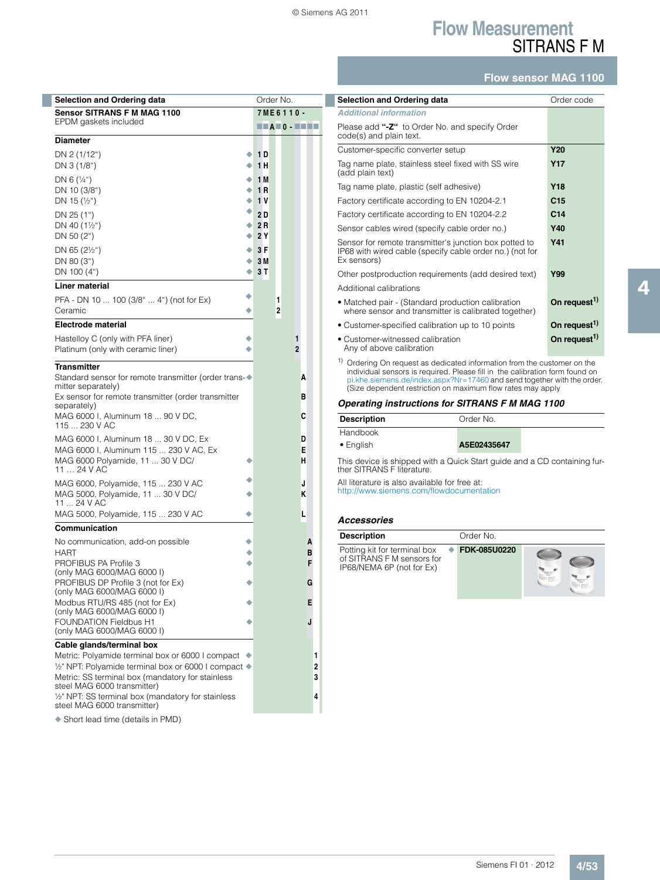*Additional information*

code(s) and plain text.

(add plain text)

Ex sensors)

Additional calibrations

• Customer-witnessed calibration Any of above calibration

## **Flow Measurement** SITRANS F M

#### **Flow sensor MAG 1100**

**Y17**

**Y41**

On request<sup>1)</sup>

On request<sup>1)</sup>

| <b>Selection and Ordering data</b>                                                                       |   | Order No.                                                                                                |   |                |   |        |
|----------------------------------------------------------------------------------------------------------|---|----------------------------------------------------------------------------------------------------------|---|----------------|---|--------|
| <b>Sensor SITRANS F M MAG 1100</b><br>EPDM gaskets included                                              |   | 7ME6110-                                                                                                 |   |                |   |        |
|                                                                                                          |   | $\blacksquare$ $\blacksquare$ $\blacksquare$ $\blacksquare$ $\blacksquare$ $\blacksquare$ $\blacksquare$ |   |                |   |        |
| <b>Diameter</b>                                                                                          |   |                                                                                                          |   |                |   |        |
| DN 2 (1/12")<br>DN 3 (1/8")                                                                              | ٠ | 1 D<br>1 H                                                                                               |   |                |   |        |
| DN 6 $(\frac{1}{4})$                                                                                     | ٠ | 1 M                                                                                                      |   |                |   |        |
| DN 10 (3/8")                                                                                             | ٠ | 1 R                                                                                                      |   |                |   |        |
| DN 15 $(\frac{1}{2})$                                                                                    | ۰ | 1 V                                                                                                      |   |                |   |        |
| DN 25 (1")                                                                                               | ٠ | 2 D                                                                                                      |   |                |   |        |
| DN 40 $(1\frac{1}{2})$                                                                                   | ۰ | 2 R                                                                                                      |   |                |   |        |
| DN 50 (2")                                                                                               | ٠ | 2 Y                                                                                                      |   |                |   |        |
| DN 65 $(2\frac{1}{2})$                                                                                   | ٠ | 3 F                                                                                                      |   |                |   |        |
| DN 80 (3")                                                                                               | ٠ | 3 M                                                                                                      |   |                |   |        |
| DN 100 (4")                                                                                              |   | 3 T                                                                                                      |   |                |   |        |
| Liner material                                                                                           |   |                                                                                                          |   |                |   |        |
| PFA - DN 10  100 (3/8"  4") (not for Ex)                                                                 |   |                                                                                                          | 1 |                |   |        |
| Ceramic                                                                                                  |   |                                                                                                          | 2 |                |   |        |
| <b>Electrode material</b>                                                                                |   |                                                                                                          |   |                |   |        |
| Hastelloy C (only with PFA liner)                                                                        |   |                                                                                                          |   | 1              |   |        |
| Platinum (only with ceramic liner)                                                                       |   |                                                                                                          |   | $\overline{2}$ |   |        |
| <b>Transmitter</b>                                                                                       |   |                                                                                                          |   |                |   |        |
| Standard sensor for remote transmitter (order trans-◆                                                    |   |                                                                                                          |   |                | A |        |
| mitter separately)<br>Ex sensor for remote transmitter (order transmitter                                |   |                                                                                                          |   |                | в |        |
| separately)                                                                                              |   |                                                                                                          |   |                |   |        |
| MAG 6000 I, Aluminum 18  90 V DC,<br>115  230 V AC                                                       |   |                                                                                                          |   |                | c |        |
| MAG 6000 I, Aluminum 18  30 V DC, Ex                                                                     |   |                                                                                                          |   |                | D |        |
| MAG 6000 I, Aluminum 115  230 V AC, Ex                                                                   |   |                                                                                                          |   |                | Е |        |
| MAG 6000 Polyamide, 11  30 V DC/<br>11  24 V AC                                                          |   |                                                                                                          |   |                | н |        |
|                                                                                                          |   |                                                                                                          |   |                | J |        |
| MAG 6000, Polyamide, 115  230 V AC<br>MAG 5000, Polyamide, 11  30 V DC/                                  |   |                                                                                                          |   |                | ĸ |        |
| 11  24 V AC                                                                                              |   |                                                                                                          |   |                |   |        |
| MAG 5000, Polyamide, 115  230 V AC                                                                       |   |                                                                                                          |   |                | L |        |
| Communication                                                                                            |   |                                                                                                          |   |                |   |        |
| No communication, add-on possible                                                                        |   |                                                                                                          |   |                | A |        |
| HART                                                                                                     |   |                                                                                                          |   |                | в |        |
| PROFIBUS PA Profile 3<br>(only MAG 6000/MAG 6000 I)                                                      |   |                                                                                                          |   |                | F |        |
| PROFIBUS DP Profile 3 (not for Ex)                                                                       |   |                                                                                                          |   |                | G |        |
| (only MAG 6000/MAG 6000 I)                                                                               |   |                                                                                                          |   |                |   |        |
| Modbus RTU/RS 485 (not for Ex)<br>(only MAG 6000/MAG 6000 I)                                             |   |                                                                                                          |   |                | Е |        |
| <b>FOUNDATION Fieldbus H1</b>                                                                            |   |                                                                                                          |   |                | J |        |
| (only MAG 6000/MAG 6000 I)                                                                               |   |                                                                                                          |   |                |   |        |
| Cable glands/terminal box                                                                                |   |                                                                                                          |   |                |   |        |
| Metric: Polyamide terminal box or 6000 I compact                                                         |   |                                                                                                          |   |                |   | 1      |
| 1/2" NPT: Polyamide terminal box or 6000 I compact ♦<br>Metric: SS terminal box (mandatory for stainless |   |                                                                                                          |   |                |   | 2<br>3 |
| steel MAG 6000 transmitter)                                                                              |   |                                                                                                          |   |                |   |        |
| 1/2" NPT: SS terminal box (mandatory for stainless<br>steel MAG 6000 transmitter)                        |   |                                                                                                          |   |                |   | 4      |

◆ Short lead time (details in PMD)

This device is shipped with a Quick Start guide and a CD containing further SITRANS F literature. All literature is also available for free at: http://www.siemens.com/flowdocumentation **Description** Order No. **Handbook** • English **A5E02435647**

#### *Accessories*

| <b>Description</b>                                                                      | Order No.    |  |
|-----------------------------------------------------------------------------------------|--------------|--|
| Potting kit for terminal box<br>of SITRANS F M sensors for<br>IP68/NEMA 6P (not for Ex) | FDK-085U0220 |  |

<sup>1)</sup> Ordering On request as dedicated information from the customer on the individual sensors is required. Please fill in the calibration form found on pi.khe.siemens.de/index.aspx?Nr=17460 and send together with the order.

• Customer-specified calibration up to 10 points **On request1)**

**Selection and Ordering data Order Code** 

Customer-specific converter setup **Y20**

Tag name plate, plastic (self adhesive) **Y18** Factory certificate according to EN 10204-2.1 **C15** Factory certificate according to EN 10204-2.2 **C14** Sensor cables wired (specify cable order no.) **Y40** Sensor for remote transmitter's junction box potted to IP68 with wired cable (specify cable order no.) (not for

Other postproduction requirements (add desired text) **Y99**

• Matched pair - (Standard production calibration where sensor and transmitter is calibrated together)

Please add **"-Z"** to Order No. and specify Order

Tag name plate, stainless steel fixed with SS wire

(Size dependent restriction on maximum flow rates may apply *Operating instructions for SITRANS F M MAG 1100* 4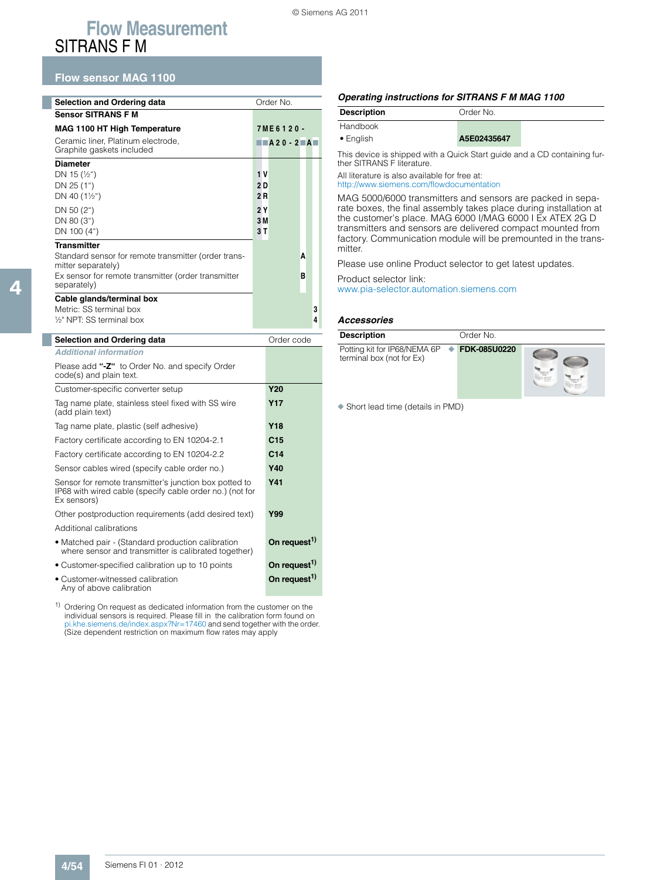### **Flow sensor MAG 1100**

| <b>Selection and Ordering data</b>                                         | Order No.                                                                                                |   |   |
|----------------------------------------------------------------------------|----------------------------------------------------------------------------------------------------------|---|---|
| <b>Sensor SITRANS F M</b>                                                  |                                                                                                          |   |   |
| <b>MAG 1100 HT High Temperature</b>                                        | 7ME6120-                                                                                                 |   |   |
| Ceramic liner, Platinum electrode,<br>Graphite gaskets included            | $\blacksquare$ $\blacksquare$ $\blacksquare$ $\blacksquare$ $\blacksquare$ $\blacksquare$ $\blacksquare$ |   |   |
| <b>Diameter</b>                                                            |                                                                                                          |   |   |
| DN 15 $(\frac{1}{2})$                                                      | 1 V                                                                                                      |   |   |
| DN 25 (1")                                                                 | 2 D                                                                                                      |   |   |
| DN 40 $(1\frac{1}{2})$                                                     | 2R                                                                                                       |   |   |
| DN 50 (2")                                                                 | 2Y                                                                                                       |   |   |
| DN 80 (3")                                                                 | 3M                                                                                                       |   |   |
| DN 100 (4")                                                                | 3T                                                                                                       |   |   |
| <b>Transmitter</b>                                                         |                                                                                                          |   |   |
| Standard sensor for remote transmitter (order trans-<br>mitter separately) |                                                                                                          | A |   |
| Ex sensor for remote transmitter (order transmitter<br>separately)         |                                                                                                          | в |   |
| Cable glands/terminal box                                                  |                                                                                                          |   |   |
| Metric: SS terminal box                                                    |                                                                                                          |   | 3 |
| 1/ <sub>2</sub> NPT: SS terminal box                                       |                                                                                                          |   | 4 |

| <b>Selection and Ordering data</b>                                                                                                | Order code               |
|-----------------------------------------------------------------------------------------------------------------------------------|--------------------------|
| <b>Additional information</b>                                                                                                     |                          |
| Please add "-Z" to Order No. and specify Order<br>code(s) and plain text.                                                         |                          |
| Customer-specific converter setup                                                                                                 | <b>Y20</b>               |
| Tag name plate, stainless steel fixed with SS wire<br>(add plain text)                                                            | <b>Y17</b>               |
| Tag name plate, plastic (self adhesive)                                                                                           | <b>Y18</b>               |
| Factory certificate according to EN 10204-2.1                                                                                     | C <sub>15</sub>          |
| Factory certificate according to EN 10204-2.2                                                                                     | C <sub>14</sub>          |
| Sensor cables wired (specify cable order no.)                                                                                     | Y40                      |
| Sensor for remote transmitter's junction box potted to<br>IP68 with wired cable (specify cable order no.) (not for<br>Ex sensors) | <b>Y41</b>               |
| Other postproduction requirements (add desired text)                                                                              | Y99                      |
| Additional calibrations                                                                                                           |                          |
| • Matched pair - (Standard production calibration<br>where sensor and transmitter is calibrated together)                         | On request <sup>1)</sup> |
| • Customer-specified calibration up to 10 points                                                                                  | On request <sup>1)</sup> |
| • Customer-witnessed calibration                                                                                                  | On request <sup>1)</sup> |

Any of above calibration

#### *Operating instructions for SITRANS F M MAG 1100*

| <b>Description</b> | Order No.   |  |
|--------------------|-------------|--|
| Handbook           |             |  |
| $\bullet$ English  | A5E02435647 |  |

This device is shipped with a Quick Start guide and a CD containing further SITRANS F literature.

All literature is also available for free at: http://www.siemens.com/flowdocumentation

MAG 5000/6000 transmitters and sensors are packed in separate boxes, the final assembly takes place during installation at the customer's place. MAG 6000 I/MAG 6000 I Ex ATEX 2G D transmitters and sensors are delivered compact mounted from factory. Communication module will be premounted in the transmitter.

Please use online Product selector to get latest updates.

Product selector link:

www.pia-selector.automation.siemens.com

#### *Accessories*

| <b>Description</b>                                                       | Order No. |  |
|--------------------------------------------------------------------------|-----------|--|
| Potting kit for IP68/NEMA 6P → FDK-085U0220<br>terminal box (not for Ex) |           |  |

◆ Short lead time (details in PMD)

<sup>&</sup>lt;sup>1)</sup> Ordering On request as dedicated information from the customer on the individual sensors is required. Please fill in the calibration form found on pi.khe.siemens.de/index.aspx?Nr=17460 and send together with the order. (Size dependent restriction on maximum flow rates may apply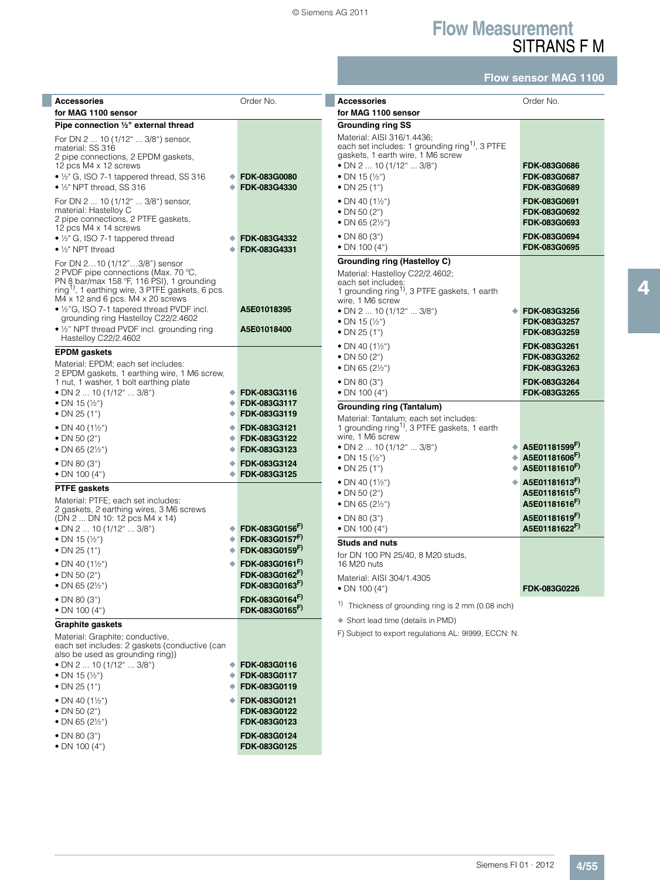$\overline{\phantom{a}}$ 

## **Flow Measurement** SITRANS F M

## **Flow sensor MAG 1100**

| <b>Accessories</b><br>for MAG 1100 sensor                                                                                                                                                                                                                                                                                                                                            | Order No.                                                                                                                              | <b>Accessories</b><br>for MAG 1100 sensor                                                                                                                                                                                                                                  | Order No.                                                                                     |
|--------------------------------------------------------------------------------------------------------------------------------------------------------------------------------------------------------------------------------------------------------------------------------------------------------------------------------------------------------------------------------------|----------------------------------------------------------------------------------------------------------------------------------------|----------------------------------------------------------------------------------------------------------------------------------------------------------------------------------------------------------------------------------------------------------------------------|-----------------------------------------------------------------------------------------------|
| Pipe connection 1/2" external thread                                                                                                                                                                                                                                                                                                                                                 |                                                                                                                                        | <b>Grounding ring SS</b>                                                                                                                                                                                                                                                   |                                                                                               |
| For DN 2  10 (1/12"  3/8") sensor,<br>material: SS 316<br>2 pipe connections, 2 EPDM gaskets,<br>12 pcs M4 x 12 screws<br>$\bullet$ 1/ <sub>2</sub> " G, ISO 7-1 tappered thread, SS 316<br>٠<br>$\bullet$ 1/ <sub>2</sub> " NPT thread, SS 316                                                                                                                                      | FDK-083G0080<br>FDK-083G4330                                                                                                           | Material: AISI 316/1.4436;<br>each set includes: 1 grounding ring <sup>1)</sup> , 3 PTFE<br>gaskets, 1 earth wire, 1 M6 screw<br>• DN 2  10 (1/12"  3/8")<br>• DN 15 $(\frac{1}{2})$<br>• DN 25 $(1")$                                                                     | <b>FDK-083G0686</b><br><b>FDK-083G0687</b><br>FDK-083G0689                                    |
| For DN 2  10 (1/12"  3/8") sensor,<br>material: Hastelloy C<br>2 pipe connections, 2 PTFE gaskets,<br>12 pcs M4 x 14 screws<br>$\bullet$ 1/ <sub>2</sub> " G, ISO 7-1 tappered thread<br>$\bullet$ 1/ <sub>2</sub> " NPT thread                                                                                                                                                      | FDK-083G4332<br>FDK-083G4331                                                                                                           | • DN 40 $(1\frac{1}{2})$<br>• DN 50 $(2^{\circ})$<br>• DN 65 $(2\frac{1}{2})$<br>$\bullet$ DN 80 (3")<br>$\bullet$ DN 100 (4")                                                                                                                                             | FDK-083G0691<br>FDK-083G0692<br><b>FDK-083G0693</b><br>FDK-083G0694<br>FDK-083G0695           |
| For DN 210 (1/12"3/8") sensor<br>2 PVDF pipe connections (Max. 70 °C,<br>PN 8 bar/max 158 °F, 116 PSI), 1 grounding<br>ring <sup>1)</sup> , 1 earthing wire, 3 PTFE gaskets, 6 pcs.<br>M4 x 12 and 6 pcs. M4 x 20 screws<br>• 1/2"G, ISO 7-1 tapered thread PVDF incl.<br>grounding ring Hastelloy C22/2.4602<br>• 1/2" NPT thread PVDF incl. grounding ring<br>Hastelloy C22/2.4602 | A5E01018395<br>A5E01018400                                                                                                             | Grounding ring (Hastelloy C)<br>Material: Hastelloy C22/2.4602;<br>each set includes:<br>1 grounding ring <sup>1)</sup> , 3 PTFE gaskets, 1 earth<br>wire, 1 M6 screw<br>• DN 2  10 (1/12"  3/8")<br>• DN 15 $(\frac{1}{2})$<br>• DN 25 $(1")$<br>• DN 40 $(1\frac{1}{2})$ | FDK-083G3256<br>FDK-083G3257<br><b>FDK-083G3259</b><br>FDK-083G3261                           |
| <b>EPDM</b> gaskets<br>Material: EPDM; each set includes:<br>2 EPDM gaskets, 1 earthing wire, 1 M6 screw,<br>1 nut, 1 washer, 1 bolt earthing plate<br>• DN 2 $\dots$ 10 (1/12" $\dots$ 3/8")<br>• DN 15 $(\frac{1}{2})$<br>• DN 25 $(1")$                                                                                                                                           | FDK-083G3116<br>FDK-083G3117<br>FDK-083G3119                                                                                           | • DN 50 $(2n)$<br>• DN 65 $(2\frac{1}{2})$<br>• DN 80 $(3")$<br>• DN 100 $(4")$<br><b>Grounding ring (Tantalum)</b>                                                                                                                                                        | FDK-083G3262<br>FDK-083G3263<br>FDK-083G3264<br>FDK-083G3265                                  |
| • DN 40 $(1\frac{1}{2})$<br>٠<br>• DN 50 $(2^{\circ})$<br>• DN 65 $(2\frac{1}{2})$<br>• DN 80 $(3")$<br>• DN 100 $(4")$                                                                                                                                                                                                                                                              | FDK-083G3121<br>FDK-083G3122<br>FDK-083G3123<br>FDK-083G3124<br>FDK-083G3125                                                           | Material: Tantalum; each set includes:<br>1 grounding ring <sup>1)</sup> , 3 PTFE gaskets, 1 earth<br>wire, 1 M6 screw<br>• DN 2  10 (1/12"  3/8")<br>• DN 15 $(\frac{1}{2})$<br>• DN 25 $(1")$<br>۰                                                                       | A5E01181599F)<br>A5E01181606F)<br>A5E01181610F)                                               |
| <b>PTFE</b> gaskets<br>Material: PTFE; each set includes:<br>2 gaskets, 2 earthing wires, 3 M6 screws<br>(DN 2  DN 10: 12 pcs M4 x 14)<br>• DN 2  10 (1/12"  3/8")<br>• DN 15 $(\frac{1}{2})$                                                                                                                                                                                        | FDK-083G0156F)<br>FDK-083G0157 <sup>F)</sup>                                                                                           | • DN 40 $(1\frac{1}{2})$<br>• DN 50 $(2^{\circ})$<br>• DN 65 (2½")<br>$\bullet$ DN 80 (3")<br>• DN 100 $(4")$<br><b>Studs and nuts</b>                                                                                                                                     | A5E01181613F)<br>A5E01181615 <sup>F)</sup><br>A5E01181616F)<br>A5E01181619F)<br>A5E01181622F) |
| • DN 25 $(1")$<br>• DN 40 $(1\frac{1}{2})$<br>• DN 50 $(2^{\circ})$<br>• DN 65 $(2\frac{1}{2})$<br>• DN 80 $(3")$                                                                                                                                                                                                                                                                    | FDK-083G0159F)<br>FDK-083G0161 <sup>F)</sup><br>FDK-083G0162 <sup>F)</sup><br>FDK-083G0163 <sup>r)</sup><br>FDK-083G0164 <sup>F)</sup> | for DN 100 PN 25/40, 8 M20 studs,<br>16 M20 nuts<br>Material: AISI 304/1.4305<br>• DN 100 $(4")$<br><sup>1)</sup> Thickness of grounding ring is 2 mm (0.08 inch)                                                                                                          | FDK-083G0226                                                                                  |
| • DN 100 $(4n)$                                                                                                                                                                                                                                                                                                                                                                      | FDK-083G0165 <sup>F)</sup>                                                                                                             | ♦ Short lead time (details in PMD)                                                                                                                                                                                                                                         |                                                                                               |
| <b>Graphite gaskets</b><br>Material: Graphite; conductive,<br>each set includes: 2 gaskets (conductive (can<br>also be used as grounding ring))<br>• DN 2 $\dots$ 10 (1/12" $\dots$ 3/8")<br>٠<br>• DN 15 $(\frac{1}{2})$<br>• DN 25 $(1")$<br>• DN 40 $(1\frac{1}{2})$<br>• DN 50 $(2^{\circ})$<br>• DN 65 $(2\frac{1}{2})$<br>• DN 80 $(3")$<br>• DN 100 $(4")$                    | FDK-083G0116<br>FDK-083G0117<br>FDK-083G0119<br>FDK-083G0121<br><b>FDK-083G0122</b><br>FDK-083G0123<br>FDK-083G0124<br>FDK-083G0125    | F) Subject to export regulations AL: 91999, ECCN: N.                                                                                                                                                                                                                       |                                                                                               |

4

Siemens FI 01 · 2012 **4/55**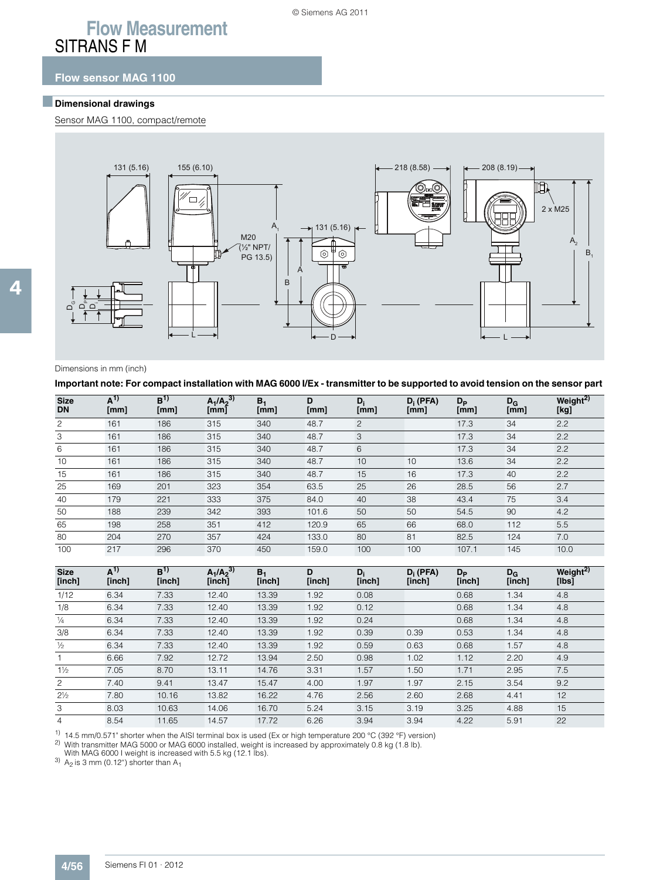### **Flow sensor MAG 1100**

### ■**Dimensional drawings**

Sensor MAG 1100, compact/remote



4

#### Dimensions in mm (inch)

**Important note: For compact installation with MAG 6000 I/Ex - transmitter to be supported to avoid tension on the sensor part** 

| <b>Size</b><br><b>DN</b> | $A^{1)}$<br>[mm] | B <sup>1</sup><br>[mm] | $A_1/A_2^{3}$<br>[mm] | B <sub>1</sub><br>[mm] | D<br>[mm] | $D_i$<br>[mm] | $D_i$ (PFA)<br>[mm] | $D_{\rm P}$<br>[mm] | $D_G$<br>[mm] | Weight <sup>2)</sup><br>[kg] |
|--------------------------|------------------|------------------------|-----------------------|------------------------|-----------|---------------|---------------------|---------------------|---------------|------------------------------|
| 2                        | 161              | 186                    | 315                   | 340                    | 48.7      | 2             |                     | 17.3                | 34            | 2.2                          |
| 3                        | 161              | 186                    | 315                   | 340                    | 48.7      | 3             |                     | 17.3                | 34            | 2.2                          |
| 6                        | 161              | 186                    | 315                   | 340                    | 48.7      | 6             |                     | 17.3                | 34            | 2.2                          |
| 10                       | 161              | 186                    | 315                   | 340                    | 48.7      | 10            | 10                  | 13.6                | 34            | 2.2                          |
| 15                       | 161              | 186                    | 315                   | 340                    | 48.7      | 15            | 16                  | 17.3                | 40            | 2.2                          |
| 25                       | 169              | 201                    | 323                   | 354                    | 63.5      | 25            | 26                  | 28.5                | 56            | 2.7                          |
| 40                       | 179              | 221                    | 333                   | 375                    | 84.0      | 40            | 38                  | 43.4                | 75            | 3.4                          |
| 50                       | 188              | 239                    | 342                   | 393                    | 101.6     | 50            | 50                  | 54.5                | 90            | 4.2                          |
| 65                       | 198              | 258                    | 351                   | 412                    | 120.9     | 65            | 66                  | 68.0                | 112           | 5.5                          |
| 80                       | 204              | 270                    | 357                   | 424                    | 133.0     | 80            | 81                  | 82.5                | 124           | 7.0                          |
| 100                      | 217              | 296                    | 370                   | 450                    | 159.0     | 100           | 100                 | 107.1               | 145           | 10.0                         |

| <b>Size</b><br>[inch] | $A^{1)}$<br>[inch] | B <sup>1</sup><br>[inch] | $A_1/A_2^{3)}$<br>[inch] | $B_1$<br>[inch] | D<br>[inch] | $D_i$<br>[inch] | $D_i$ (PFA)<br>[inch] | $D_{\rm P}$<br>[inch] | $D_{G}$<br>[inch] | Weight <sup>2)</sup><br>$[$ lbs $]$ |
|-----------------------|--------------------|--------------------------|--------------------------|-----------------|-------------|-----------------|-----------------------|-----------------------|-------------------|-------------------------------------|
| 1/12                  | 6.34               | 7.33                     | 12.40                    | 13.39           | 1.92        | 0.08            |                       | 0.68                  | 1.34              | 4.8                                 |
| 1/8                   | 6.34               | 7.33                     | 12.40                    | 13.39           | 1.92        | 0.12            |                       | 0.68                  | 1.34              | 4.8                                 |
| $\frac{1}{4}$         | 6.34               | 7.33                     | 12.40                    | 13.39           | 1.92        | 0.24            |                       | 0.68                  | 1.34              | 4.8                                 |
| 3/8                   | 6.34               | 7.33                     | 12.40                    | 13.39           | 1.92        | 0.39            | 0.39                  | 0.53                  | 1.34              | 4.8                                 |
| $\frac{1}{2}$         | 6.34               | 7.33                     | 12.40                    | 13.39           | 1.92        | 0.59            | 0.63                  | 0.68                  | 1.57              | 4.8                                 |
|                       | 6.66               | 7.92                     | 12.72                    | 13.94           | 2.50        | 0.98            | 1.02                  | 1.12                  | 2.20              | 4.9                                 |
| $1\frac{1}{2}$        | 7.05               | 8.70                     | 13.11                    | 14.76           | 3.31        | 1.57            | 1.50                  | 1.71                  | 2.95              | 7.5                                 |
| 2                     | 7.40               | 9.41                     | 13.47                    | 15.47           | 4.00        | 1.97            | 1.97                  | 2.15                  | 3.54              | 9.2                                 |
| $2\frac{1}{2}$        | 7.80               | 10.16                    | 13.82                    | 16.22           | 4.76        | 2.56            | 2.60                  | 2.68                  | 4.41              | 12                                  |
| 3                     | 8.03               | 10.63                    | 14.06                    | 16.70           | 5.24        | 3.15            | 3.19                  | 3.25                  | 4.88              | 15                                  |
| $\overline{4}$        | 8.54               | 11.65                    | 14.57                    | 17.72           | 6.26        | 3.94            | 3.94                  | 4.22                  | 5.91              | 22                                  |

<sup>1)</sup> 14.5 mm/0.571" shorter when the AISI terminal box is used (Ex or high temperature 200 °C (392 °F) version)

2) With transmitter MAG 5000 or MAG 6000 installed, weight is increased by approximately 0.8 kg (1.8 lb).

With MAG 6000 I weight is increased with 5.5 kg (12.1 lbs).

3)  $A_2$  is 3 mm (0.12") shorter than  $A_1$